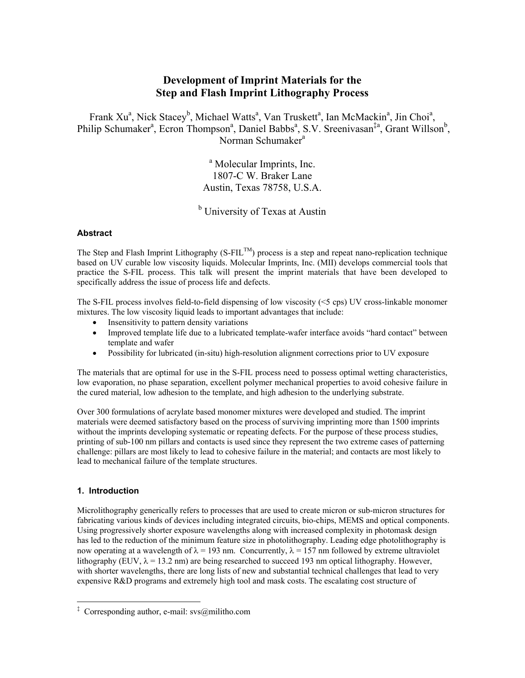# **Development of Imprint Materials for the Step and Flash Imprint Lithography Process**

Frank Xu<sup>a</sup>, Nick Stacey<sup>b</sup>, Michael Watts<sup>a</sup>, Van Truskett<sup>a</sup>, Ian McMackin<sup>a</sup>, Jin Choi<sup>a</sup>, Philip Schumaker<sup>a</sup>, Ecron Thompson<sup>a</sup>, Daniel Babbs<sup>a</sup>, S.V. Sreenivasan<sup>‡a</sup>, Grant Willson<sup>b</sup>, Norman Schumaker<sup>a</sup>

> <sup>a</sup> Molecular Imprints, Inc. 1807-C W. Braker Lane Austin, Texas 78758, U.S.A.

<sup>b</sup> University of Texas at Austin

# **Abstract**

The Step and Flash Imprint Lithography (S-FIL<sup>TM</sup>) process is a step and repeat nano-replication technique based on UV curable low viscosity liquids. Molecular Imprints, Inc. (MII) develops commercial tools that practice the S-FIL process. This talk will present the imprint materials that have been developed to specifically address the issue of process life and defects.

The S-FIL process involves field-to-field dispensing of low viscosity (<5 cps) UV cross-linkable monomer mixtures. The low viscosity liquid leads to important advantages that include:

- Insensitivity to pattern density variations
- Improved template life due to a lubricated template-wafer interface avoids "hard contact" between template and wafer
- Possibility for lubricated (in-situ) high-resolution alignment corrections prior to UV exposure

The materials that are optimal for use in the S-FIL process need to possess optimal wetting characteristics, low evaporation, no phase separation, excellent polymer mechanical properties to avoid cohesive failure in the cured material, low adhesion to the template, and high adhesion to the underlying substrate.

Over 300 formulations of acrylate based monomer mixtures were developed and studied. The imprint materials were deemed satisfactory based on the process of surviving imprinting more than 1500 imprints without the imprints developing systematic or repeating defects. For the purpose of these process studies, printing of sub-100 nm pillars and contacts is used since they represent the two extreme cases of patterning challenge: pillars are most likely to lead to cohesive failure in the material; and contacts are most likely to lead to mechanical failure of the template structures.

# **1. Introduction**

 $\overline{a}$ 

Microlithography generically refers to processes that are used to create micron or sub-micron structures for fabricating various kinds of devices including integrated circuits, bio-chips, MEMS and optical components. Using progressively shorter exposure wavelengths along with increased complexity in photomask design has led to the reduction of the minimum feature size in photolithography. Leading edge photolithography is now operating at a wavelength of  $\lambda = 193$  nm. Concurrently,  $\lambda = 157$  nm followed by extreme ultraviolet lithography (EUV,  $\lambda = 13.2$  nm) are being researched to succeed 193 nm optical lithography. However, with shorter wavelengths, there are long lists of new and substantial technical challenges that lead to very expensive R&D programs and extremely high tool and mask costs. The escalating cost structure of

<span id="page-0-0"></span><sup>‡</sup> Corresponding author, e-mail: svs@militho.com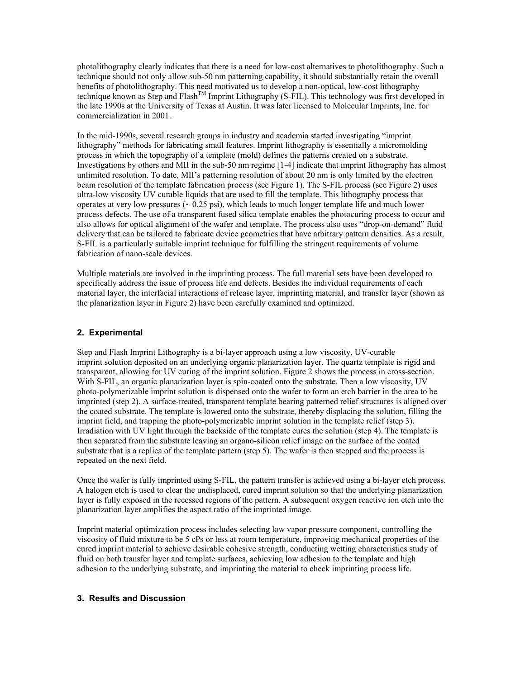photolithography clearly indicates that there is a need for low-cost alternatives to photolithography. Such a technique should not only allow sub-50 nm patterning capability, it should substantially retain the overall benefits of photolithography. This need motivated us to develop a non-optical, low-cost lithography technique known as Step and FlashTM Imprint Lithography (S-FIL). This technology was first developed in the late 1990s at the University of Texas at Austin. It was later licensed to Molecular Imprints, Inc. for commercialization in 2001.

In the mid-1990s, several research groups in industry and academia started investigating "imprint lithography" methods for fabricating small features. Imprint lithography is essentially a micromolding process in which the topography of a template (mold) defines the patterns created on a substrate. Investigations by others and MII in the sub-50 nm regime [1-4] indicate that imprint lithography has almost unlimited resolution. To date, MII's patterning resolution of about 20 nm is only limited by the electron beam resolution of the template fabrication process (see Figure 1). The S-FIL process (see Figure 2) uses ultra-low viscosity UV curable liquids that are used to fill the template. This lithography process that operates at very low pressures  $\sim 0.25$  psi), which leads to much longer template life and much lower process defects. The use of a transparent fused silica template enables the photocuring process to occur and also allows for optical alignment of the wafer and template. The process also uses "drop-on-demand" fluid delivery that can be tailored to fabricate device geometries that have arbitrary pattern densities. As a result, S-FIL is a particularly suitable imprint technique for fulfilling the stringent requirements of volume fabrication of nano-scale devices.

Multiple materials are involved in the imprinting process. The full material sets have been developed to specifically address the issue of process life and defects. Besides the individual requirements of each material layer, the interfacial interactions of release layer, imprinting material, and transfer layer (shown as the planarization layer in Figure 2) have been carefully examined and optimized.

# **2. Experimental**

Step and Flash Imprint Lithography is a bi-layer approach using a low viscosity, UV-curable imprint solution deposited on an underlying organic planarization layer. The quartz template is rigid and transparent, allowing for UV curing of the imprint solution. Figure 2 shows the process in cross-section. With S-FIL, an organic planarization layer is spin-coated onto the substrate. Then a low viscosity, UV photo-polymerizable imprint solution is dispensed onto the wafer to form an etch barrier in the area to be imprinted (step 2). A surface-treated, transparent template bearing patterned relief structures is aligned over the coated substrate. The template is lowered onto the substrate, thereby displacing the solution, filling the imprint field, and trapping the photo-polymerizable imprint solution in the template relief (step 3). Irradiation with UV light through the backside of the template cures the solution (step 4). The template is then separated from the substrate leaving an organo-silicon relief image on the surface of the coated substrate that is a replica of the template pattern (step 5). The wafer is then stepped and the process is repeated on the next field.

Once the wafer is fully imprinted using S-FIL, the pattern transfer is achieved using a bi-layer etch process. A halogen etch is used to clear the undisplaced, cured imprint solution so that the underlying planarization layer is fully exposed in the recessed regions of the pattern. A subsequent oxygen reactive ion etch into the planarization layer amplifies the aspect ratio of the imprinted image.

Imprint material optimization process includes selecting low vapor pressure component, controlling the viscosity of fluid mixture to be 5 cPs or less at room temperature, improving mechanical properties of the cured imprint material to achieve desirable cohesive strength, conducting wetting characteristics study of fluid on both transfer layer and template surfaces, achieving low adhesion to the template and high adhesion to the underlying substrate, and imprinting the material to check imprinting process life.

# **3. Results and Discussion**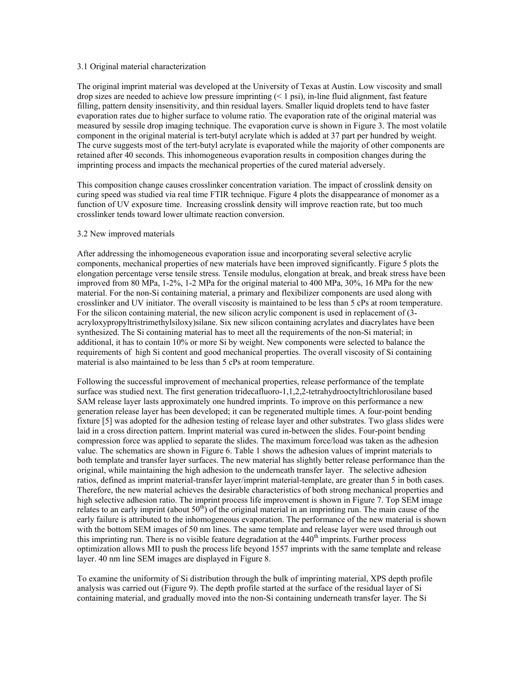#### 3.1 Original material characterization

The original imprint material was developed at the University of Texas at Austin. Low viscosity and small drop sizes are needed to achieve low pressure imprinting  $(< 1 \text{ psi})$ , in-line fluid alignment, fast feature filling, pattern density insensitivity, and thin residual layers. Smaller liquid droplets tend to have faster evaporation rates due to higher surface to volume ratio. The evaporation rate of the original material was measured by sessile drop imaging technique. The evaporation curve is shown in Figure 3. The most volatile component in the original material is tert-butyl acrylate which is added at 37 part per hundred by weight. The curve suggests most of the tert-butyl acrylate is evaporated while the majority of other components are retained after 40 seconds. This inhomogeneous evaporation results in composition changes during the imprinting process and impacts the mechanical properties of the cured material adversely.

This composition change causes crosslinker concentration variation. The impact of crosslink density on curing speed was studied via real time FTIR technique. Figure 4 plots the disappearance of monomer as a function of UV exposure time. Increasing crosslink density will improve reaction rate, but too much crosslinker tends toward lower ultimate reaction conversion.

#### 3.2 New improved materials

After addressing the inhomogeneous evaporation issue and incorporating several selective acrylic components, mechanical properties of new materials have been improved significantly. Figure 5 plots the elongation percentage verse tensile stress. Tensile modulus, elongation at break, and break stress have been improved from 80 MPa, 1-2%, 1-2 MPa for the original material to 400 MPa, 30%, 16 MPa for the new material. For the non-Si containing material, a primary and flexibilizer components are used along with crosslinker and UV initiator. The overall viscosity is maintained to be less than 5 cPs at room temperature. For the silicon containing material, the new silicon acrylic component is used in replacement of (3 acryloxypropyltristrimethylsiloxy)silane. Six new silicon containing acrylates and diacrylates have been synthesized. The Si containing material has to meet all the requirements of the non-Si material; in additional, it has to contain 10% or more Si by weight. New components were selected to balance the requirements of high Si content and good mechanical properties. The overall viscosity of Si containing material is also maintained to be less than 5 cPs at room temperature.

Following the successful improvement of mechanical properties, release performance of the template surface was studied next. The first generation tridecafluoro-1,1,2,2-tetrahydrooctyltrichlorosilane based SAM release layer lasts approximately one hundred imprints. To improve on this performance a new generation release layer has been developed; it can be regenerated multiple times. A four-point bending fixture [5] was adopted for the adhesion testing of release layer and other substrates. Two glass slides were laid in a cross direction pattern. Imprint material was cured in-between the slides. Four-point bending compression force was applied to separate the slides. The maximum force/load was taken as the adhesion value. The schematics are shown in Figure 6. Table 1 shows the adhesion values of imprint materials to both template and transfer layer surfaces. The new material has slightly better release performance than the original, while maintaining the high adhesion to the underneath transfer layer. The selective adhesion ratios, defined as imprint material-transfer layer/imprint material-template, are greater than 5 in both cases. Therefore, the new material achieves the desirable characteristics of both strong mechanical properties and high selective adhesion ratio. The imprint process life improvement is shown in Figure 7. Top SEM image relates to an early imprint (about  $50<sup>th</sup>$ ) of the original material in an imprinting run. The main cause of the early failure is attributed to the inhomogeneous evaporation. The performance of the new material is shown with the bottom SEM images of 50 nm lines. The same template and release layer were used through out this imprinting run. There is no visible feature degradation at the  $440<sup>th</sup>$  imprints. Further process optimization allows MII to push the process life beyond 1557 imprints with the same template and release layer. 40 nm line SEM images are displayed in Figure 8.

To examine the uniformity of Si distribution through the bulk of imprinting material, XPS depth profile analysis was carried out (Figure 9). The depth profile started at the surface of the residual layer of Si containing material, and gradually moved into the non-Si containing underneath transfer layer. The Si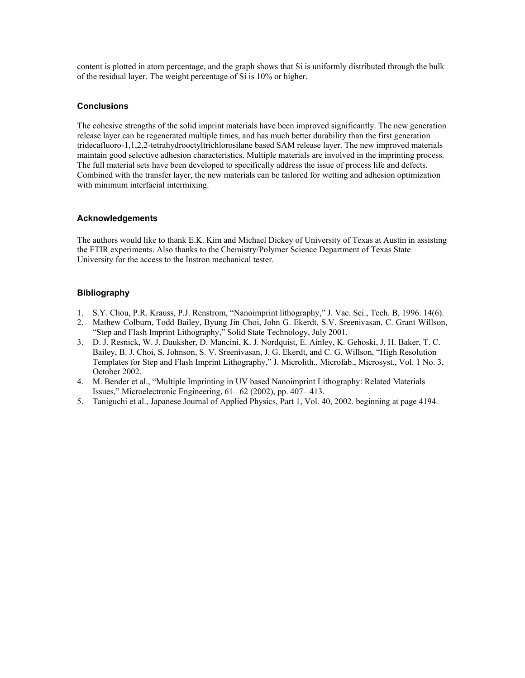content is plotted in atom percentage, and the graph shows that Si is uniformly distributed through the bulk of the residual layer. The weight percentage of Si is 10% or higher.

### **Conclusions**

The cohesive strengths of the solid imprint materials have been improved significantly. The new generation release layer can be regenerated multiple times, and has much better durability than the first generation tridecafluoro-1,1,2,2-tetrahydrooctyltrichlorosilane based SAM release layer. The new improved materials maintain good selective adhesion characteristics. Multiple materials are involved in the imprinting process. The full material sets have been developed to specifically address the issue of process life and defects. Combined with the transfer layer, the new materials can be tailored for wetting and adhesion optimization with minimum interfacial intermixing.

#### **Acknowledgements**

The authors would like to thank E.K. Kim and Michael Dickey of University of Texas at Austin in assisting the FTIR experiments. Also thanks to the Chemistry/Polymer Science Department of Texas State University for the access to the Instron mechanical tester.

### **Bibliography**

- 1. S.Y. Chou, P.R. Krauss, P.J. Renstrom, "Nanoimprint lithography," J. Vac. Sci., Tech. B, 1996. 14(6).
- 2. Mathew Colburn, Todd Bailey, Byung Jin Choi, John G. Ekerdt, S.V. Sreenivasan, C. Grant Willson, "Step and Flash Imprint Lithography," Solid State Technology, July 2001.
- 3. D. J. Resnick, W. J. Dauksher, D. Mancini, K. J. Nordquist, E. Ainley, K. Gehoski, J. H. Baker, T. C. Bailey, B. J. Choi, S. Johnson, S. V. Sreenivasan, J. G. Ekerdt, and C. G. Willson, "High Resolution Templates for Step and Flash Imprint Lithography," J. Microlith., Microfab., Microsyst., Vol. 1 No. 3, October 2002.
- 4. M. Bender et al., "Multiple Imprinting in UV based Nanoimprint Lithography: Related Materials Issues," Microelectronic Engineering, 61– 62 (2002), pp. 407– 413.
- 5. Taniguchi et al., Japanese Journal of Applied Physics, Part 1, Vol. 40, 2002. beginning at page 4194.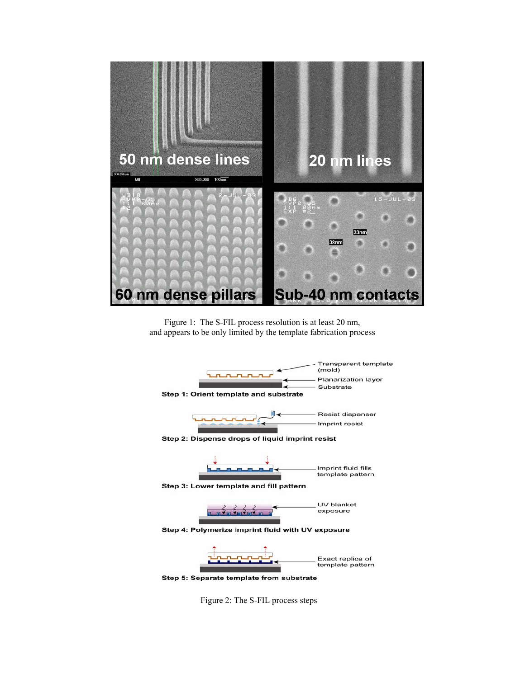

Figure 1: The S-FIL process resolution is at least 20 nm, and appears to be only limited by the template fabrication process



Figure 2: The S-FIL process steps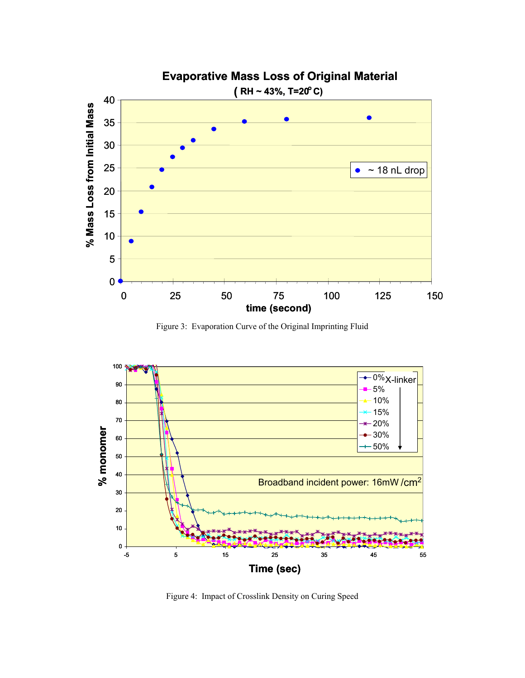

Figure 3: Evaporation Curve of the Original Imprinting Fluid



Figure 4: Impact of Crosslink Density on Curing Speed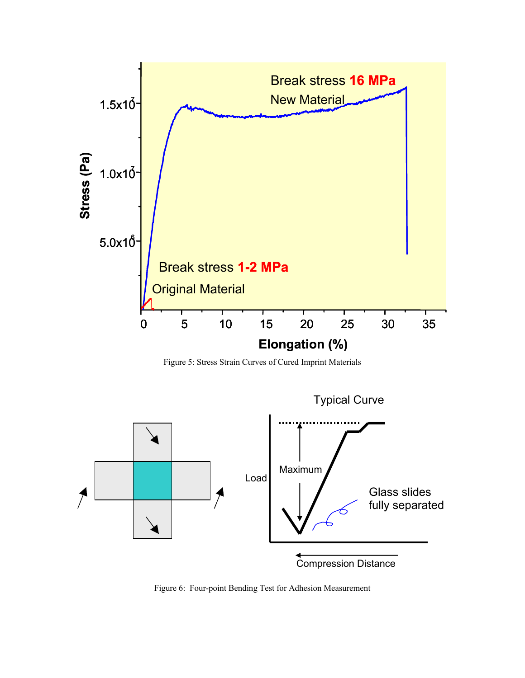

Figure 5: Stress Strain Curves of Cured Imprint Materials



Figure 6: Four-point Bending Test for Adhesion Measurement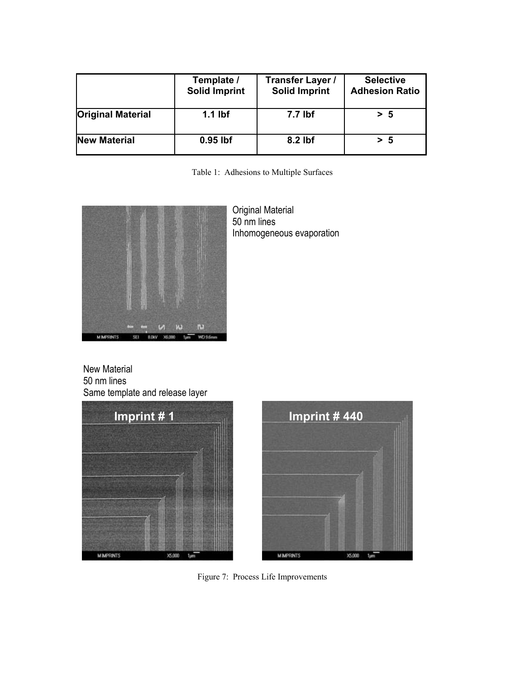|                          | Template /<br><b>Solid Imprint</b> | Transfer Layer /<br><b>Solid Imprint</b> | <b>Selective</b><br><b>Adhesion Ratio</b> |
|--------------------------|------------------------------------|------------------------------------------|-------------------------------------------|
| <b>Original Material</b> | $1.1$ lbf                          | 7.7 lbf                                  | > 5                                       |
| <b>New Material</b>      | 0.95 lbf                           | $8.2$ lbf                                | > 5                                       |

Table 1: Adhesions to Multiple Surfaces



Original Material 50 nm lines Inhomogeneous evaporation

New Material 50 nm lines Same template and release layer





Figure 7: Process Life Improvements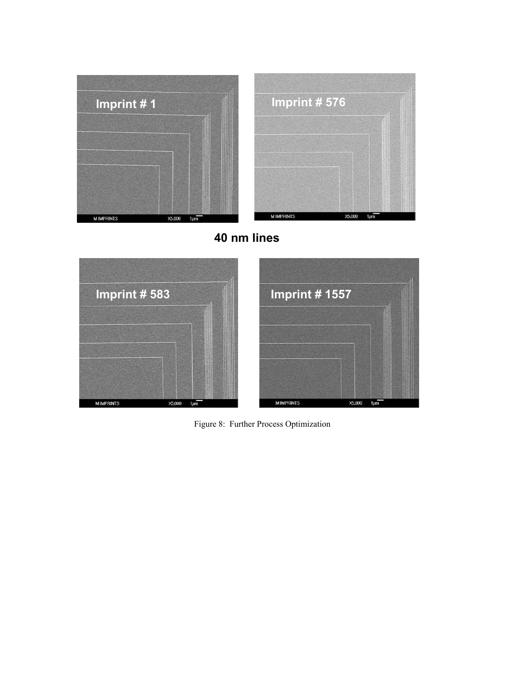